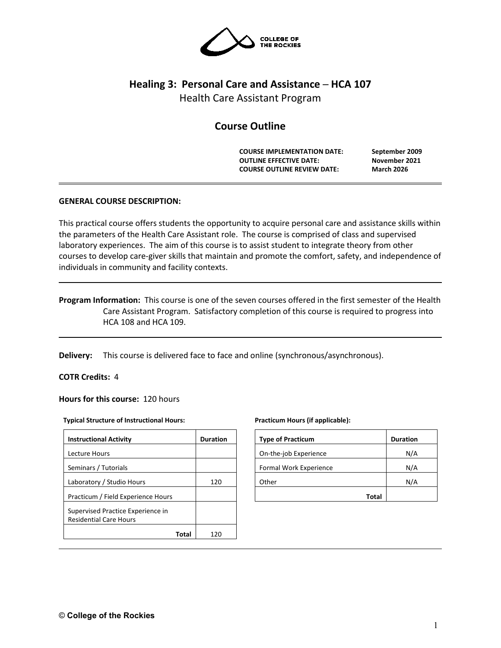

# **Healing 3: Personal Care and Assistance ─ HCA 107**

Health Care Assistant Program

# **Course Outline**

**COURSE IMPLEMENTATION DATE: September 2009 OUTLINE EFFECTIVE DATE: November 2021 COURSE OUTLINE REVIEW DATE: March 2026**

# **GENERAL COURSE DESCRIPTION:**

This practical course offers students the opportunity to acquire personal care and assistance skills within the parameters of the Health Care Assistant role. The course is comprised of class and supervised laboratory experiences. The aim of this course is to assist student to integrate theory from other courses to develop care-giver skills that maintain and promote the comfort, safety, and independence of individuals in community and facility contexts.

# **Program Information:** This course is one of the seven courses offered in the first semester of the Health Care Assistant Program. Satisfactory completion of this course is required to progress into HCA 108 and HCA 109.

**Delivery:** This course is delivered face to face and online (synchronous/asynchronous).

### **COTR Credits:** 4

**Hours for this course:** 120 hours

#### **Typical Structure of Instructional Hours:**

| <b>Instructional Activity</b>                                      | <b>Duration</b> |
|--------------------------------------------------------------------|-----------------|
| Lecture Hours                                                      |                 |
| Seminars / Tutorials                                               |                 |
| Laboratory / Studio Hours                                          | 120             |
| Practicum / Field Experience Hours                                 |                 |
| Supervised Practice Experience in<br><b>Residential Care Hours</b> |                 |
| Total                                                              | 120             |

#### **Practicum Hours (if applicable):**

| <b>Type of Practicum</b> | <b>Duration</b> |
|--------------------------|-----------------|
| On-the-job Experience    | N/A             |
| Formal Work Experience   | N/A             |
| Other                    | N/A             |
| Total                    |                 |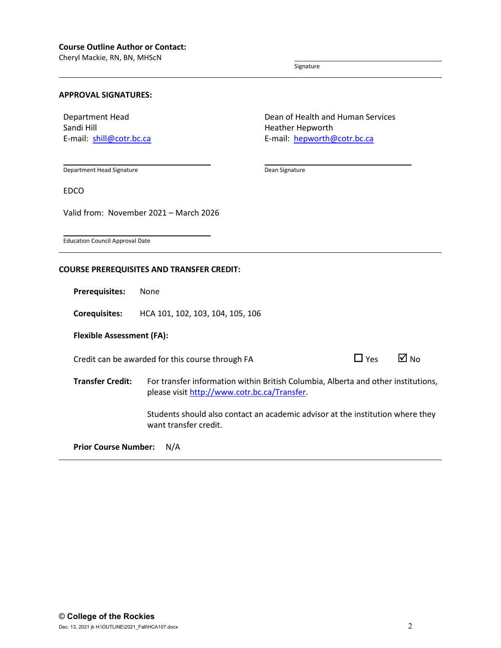Cheryl Mackie, RN, BN, MHScN

Signature

Dean Signature

#### **APPROVAL SIGNATURES:**

Department Head Sandi Hill E-mail: [shill@cotr.bc.ca](mailto:shill@cotr.bc.ca) Dean of Health and Human Services Heather Hepworth E-mail: [hepworth@cotr.bc.ca](mailto:hepworth@cotr.bc.ca)

Department Head Signature

EDCO

Valid from: November 2021 – March 2026

Education Council Approval Date

### **COURSE PREREQUISITES AND TRANSFER CREDIT:**

**Prerequisites:** None

**Corequisites:** HCA 101, 102, 103, 104, 105, 106

### **Flexible Assessment (FA):**

Credit can be awarded for this course through FA  $\Box$  Yes  $\Box$  No

| Yes | M No |  |
|-----|------|--|
|     |      |  |

**Transfer Credit:** For transfer information within British Columbia, Alberta and other institutions, please visit [http://www.cotr.bc.ca/Transfer.](http://www.cotr.bc.ca/Transfer)

> Students should also contact an academic advisor at the institution where they want transfer credit.

**Prior Course Number:** N/A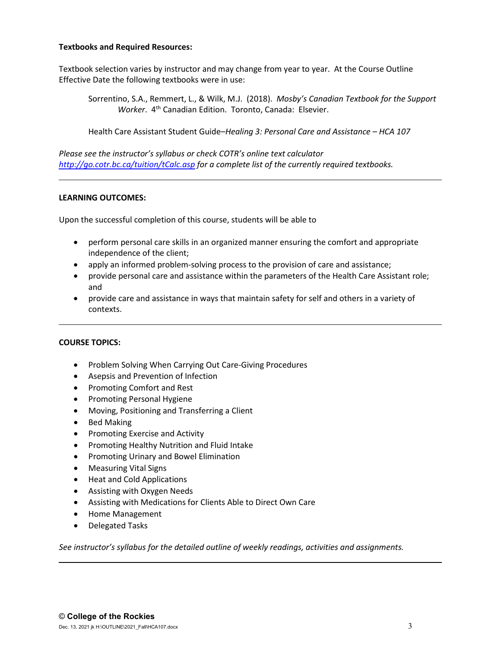# **Textbooks and Required Resources:**

Textbook selection varies by instructor and may change from year to year. At the Course Outline Effective Date the following textbooks were in use:

Sorrentino, S.A., Remmert, L., & Wilk, M.J. (2018). *Mosby's Canadian Textbook for the Support Worker.* 4<sup>th</sup> Canadian Edition. Toronto, Canada: Elsevier.

Health Care Assistant Student Guide–*Healing 3: Personal Care and Assistance – HCA 107*

*Please see the instructor's syllabus or check COTR's online text calculator <http://go.cotr.bc.ca/tuition/tCalc.asp> for a complete list of the currently required textbooks.*

# **LEARNING OUTCOMES:**

Upon the successful completion of this course, students will be able to

- perform personal care skills in an organized manner ensuring the comfort and appropriate independence of the client;
- apply an informed problem-solving process to the provision of care and assistance;
- provide personal care and assistance within the parameters of the Health Care Assistant role; and
- provide care and assistance in ways that maintain safety for self and others in a variety of contexts.

### **COURSE TOPICS:**

- Problem Solving When Carrying Out Care-Giving Procedures
- Asepsis and Prevention of Infection
- Promoting Comfort and Rest
- Promoting Personal Hygiene
- Moving, Positioning and Transferring a Client
- Bed Making
- Promoting Exercise and Activity
- Promoting Healthy Nutrition and Fluid Intake
- Promoting Urinary and Bowel Elimination
- Measuring Vital Signs
- Heat and Cold Applications
- Assisting with Oxygen Needs
- Assisting with Medications for Clients Able to Direct Own Care
- Home Management
- Delegated Tasks

*See instructor's syllabus for the detailed outline of weekly readings, activities and assignments.*